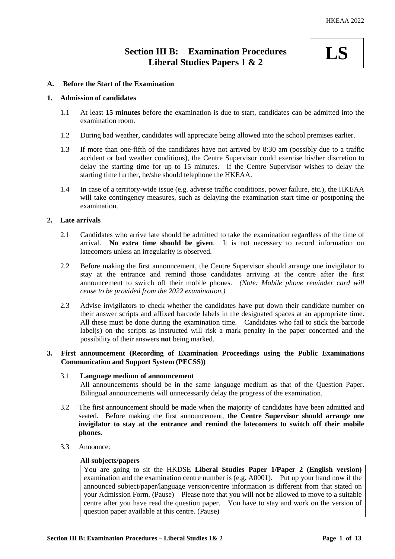# **Section III B: Examination Procedures Liberal Studies Papers 1 & 2**



## **A. Before the Start of the Examination**

#### **1. Admission of candidates**

- 1.1 At least **15 minutes** before the examination is due to start, candidates can be admitted into the examination room.
- 1.2 During bad weather, candidates will appreciate being allowed into the school premises earlier.
- 1.3 If more than one-fifth of the candidates have not arrived by 8:30 am (possibly due to a traffic accident or bad weather conditions), the Centre Supervisor could exercise his/her discretion to delay the starting time for up to 15 minutes. If the Centre Supervisor wishes to delay the starting time further, he/she should telephone the HKEAA.
- 1.4 In case of a territory-wide issue (e.g. adverse traffic conditions, power failure, etc.), the HKEAA will take contingency measures, such as delaying the examination start time or postponing the examination.

### **2. Late arrivals**

- 2.1 Candidates who arrive late should be admitted to take the examination regardless of the time of arrival. **No extra time should be given**. It is not necessary to record information on latecomers unless an irregularity is observed.
- 2.2 Before making the first announcement, the Centre Supervisor should arrange one invigilator to stay at the entrance and remind those candidates arriving at the centre after the first announcement to switch off their mobile phones. *(Note: Mobile phone reminder card will cease to be provided from the 2022 examination.)*
- 2.3 Advise invigilators to check whether the candidates have put down their candidate number on their answer scripts and affixed barcode labels in the designated spaces at an appropriate time. All these must be done during the examination time. Candidates who fail to stick the barcode label(s) on the scripts as instructed will risk a mark penalty in the paper concerned and the possibility of their answers **not** being marked.

# **3. First announcement (Recording of Examination Proceedings using the Public Examinations Communication and Support System (PECSS))**

# 3.1 **Language medium of announcement**

All announcements should be in the same language medium as that of the Question Paper. Bilingual announcements will unnecessarily delay the progress of the examination.

- 3.2 The first announcement should be made when the majority of candidates have been admitted and seated. Before making the first announcement, **the Centre Supervisor should arrange one invigilator to stay at the entrance and remind the latecomers to switch off their mobile phones**.
- 3.3 Announce:

# **All subjects/papers**

You are going to sit the HKDSE **Liberal Studies Paper 1/Paper 2 (English version)** examination and the examination centre number is (e.g. A0001). Put up your hand now if the announced subject/paper/language version/centre information is different from that stated on your Admission Form. (Pause) Please note that you will not be allowed to move to a suitable centre after you have read the question paper. You have to stay and work on the version of question paper available at this centre. (Pause)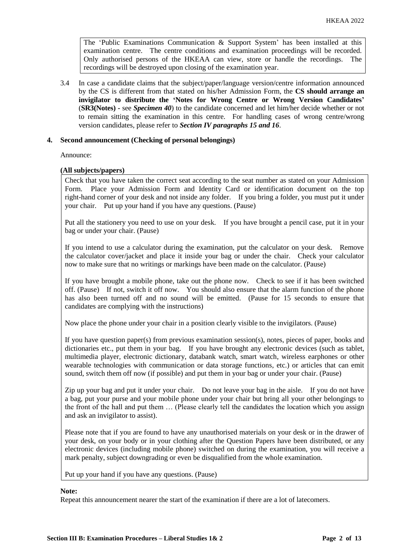The 'Public Examinations Communication  $\&$  Support System' has been installed at this examination centre. The centre conditions and examination proceedings will be recorded. Only authorised persons of the HKEAA can view, store or handle the recordings. The recordings will be destroyed upon closing of the examination year.

3.4 In case a candidate claims that the subject/paper/language version/centre information announced by the CS is different from that stated on his/her Admission Form, the **CS should arrange an invigilator to distribute the 'Notes for Wrong Centre or Wrong Version Candidates'** (**SR3(Notes) -** see *Specimen 40*) to the candidate concerned and let him/her decide whether or not to remain sitting the examination in this centre. For handling cases of wrong centre/wrong version candidates, please refer to *Section IV paragraphs 15 and 16*.

# **4. Second announcement (Checking of personal belongings)**

Announce:

### **(All subjects/papers)**

Check that you have taken the correct seat according to the seat number as stated on your Admission Form. Place your Admission Form and Identity Card or identification document on the top right-hand corner of your desk and not inside any folder. If you bring a folder, you must put it under your chair. Put up your hand if you have any questions. (Pause)

Put all the stationery you need to use on your desk. If you have brought a pencil case, put it in your bag or under your chair. (Pause)

If you intend to use a calculator during the examination, put the calculator on your desk. Remove the calculator cover/jacket and place it inside your bag or under the chair. Check your calculator now to make sure that no writings or markings have been made on the calculator. (Pause)

If you have brought a mobile phone, take out the phone now. Check to see if it has been switched off. (Pause) If not, switch it off now. You should also ensure that the alarm function of the phone has also been turned off and no sound will be emitted. (Pause for 15 seconds to ensure that candidates are complying with the instructions)

Now place the phone under your chair in a position clearly visible to the invigilators. (Pause)

If you have question paper(s) from previous examination session(s), notes, pieces of paper, books and dictionaries etc., put them in your bag. If you have brought any electronic devices (such as tablet, multimedia player, electronic dictionary, databank watch, smart watch, wireless earphones or other wearable technologies with communication or data storage functions, etc.) or articles that can emit sound, switch them off now (if possible) and put them in your bag or under your chair. (Pause)

Zip up your bag and put it under your chair. Do not leave your bag in the aisle. If you do not have a bag, put your purse and your mobile phone under your chair but bring all your other belongings to the front of the hall and put them … (Please clearly tell the candidates the location which you assign and ask an invigilator to assist).

Please note that if you are found to have any unauthorised materials on your desk or in the drawer of your desk, on your body or in your clothing after the Question Papers have been distributed, or any electronic devices (including mobile phone) switched on during the examination, you will receive a mark penalty, subject downgrading or even be disqualified from the whole examination.

Put up your hand if you have any questions. (Pause)

#### **Note:**

Repeat this announcement nearer the start of the examination if there are a lot of latecomers.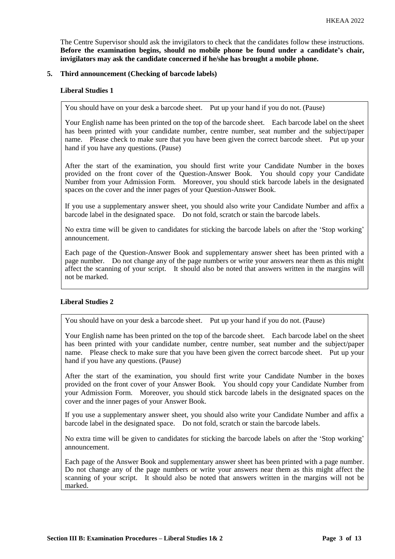The Centre Supervisor should ask the invigilators to check that the candidates follow these instructions. **Before the examination begins, should no mobile phone be found under a candidate's chair, invigilators may ask the candidate concerned if he/she has brought a mobile phone.**

### **5. Third announcement (Checking of barcode labels)**

### **Liberal Studies 1**

You should have on your desk a barcode sheet. Put up your hand if you do not. (Pause)

Your English name has been printed on the top of the barcode sheet. Each barcode label on the sheet has been printed with your candidate number, centre number, seat number and the subject/paper name. Please check to make sure that you have been given the correct barcode sheet. Put up your hand if you have any questions. (Pause)

After the start of the examination, you should first write your Candidate Number in the boxes provided on the front cover of the Question-Answer Book. You should copy your Candidate Number from your Admission Form. Moreover, you should stick barcode labels in the designated spaces on the cover and the inner pages of your Question-Answer Book.

If you use a supplementary answer sheet, you should also write your Candidate Number and affix a barcode label in the designated space. Do not fold, scratch or stain the barcode labels.

No extra time will be given to candidates for sticking the barcode labels on after the 'Stop working' announcement.

Each page of the Question-Answer Book and supplementary answer sheet has been printed with a page number. Do not change any of the page numbers or write your answers near them as this might affect the scanning of your script. It should also be noted that answers written in the margins will not be marked.

# **Liberal Studies 2**

You should have on your desk a barcode sheet. Put up your hand if you do not. (Pause)

Your English name has been printed on the top of the barcode sheet. Each barcode label on the sheet has been printed with your candidate number, centre number, seat number and the subject/paper name. Please check to make sure that you have been given the correct barcode sheet. Put up your hand if you have any questions. (Pause)

After the start of the examination, you should first write your Candidate Number in the boxes provided on the front cover of your Answer Book. You should copy your Candidate Number from your Admission Form. Moreover, you should stick barcode labels in the designated spaces on the cover and the inner pages of your Answer Book.

If you use a supplementary answer sheet, you should also write your Candidate Number and affix a barcode label in the designated space. Do not fold, scratch or stain the barcode labels.

No extra time will be given to candidates for sticking the barcode labels on after the 'Stop working' announcement.

Each page of the Answer Book and supplementary answer sheet has been printed with a page number. Do not change any of the page numbers or write your answers near them as this might affect the scanning of your script. It should also be noted that answers written in the margins will not be marked.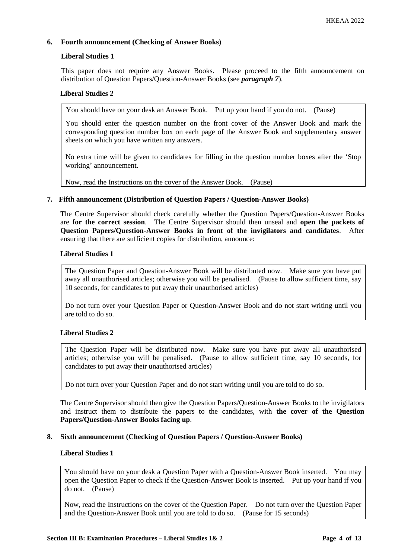# **6. Fourth announcement (Checking of Answer Books)**

# **Liberal Studies 1**

This paper does not require any Answer Books. Please proceed to the fifth announcement on distribution of Question Papers/Question-Answer Books (see *paragraph 7*).

# **Liberal Studies 2**

You should have on your desk an Answer Book. Put up your hand if you do not. (Pause)

You should enter the question number on the front cover of the Answer Book and mark the corresponding question number box on each page of the Answer Book and supplementary answer sheets on which you have written any answers.

No extra time will be given to candidates for filling in the question number boxes after the 'Stop working' announcement.

Now, read the Instructions on the cover of the Answer Book. (Pause)

# **7. Fifth announcement (Distribution of Question Papers / Question-Answer Books)**

The Centre Supervisor should check carefully whether the Question Papers/Question-Answer Books are **for the correct session**. The Centre Supervisor should then unseal and **open the packets of Question Papers/Question-Answer Books in front of the invigilators and candidates**. After ensuring that there are sufficient copies for distribution, announce:

# **Liberal Studies 1**

The Question Paper and Question-Answer Book will be distributed now. Make sure you have put away all unauthorised articles; otherwise you will be penalised. (Pause to allow sufficient time, say 10 seconds, for candidates to put away their unauthorised articles)

Do not turn over your Question Paper or Question-Answer Book and do not start writing until you are told to do so.

# **Liberal Studies 2**

The Question Paper will be distributed now. Make sure you have put away all unauthorised articles; otherwise you will be penalised. (Pause to allow sufficient time, say 10 seconds, for candidates to put away their unauthorised articles)

Do not turn over your Question Paper and do not start writing until you are told to do so.

The Centre Supervisor should then give the Question Papers/Question-Answer Books to the invigilators and instruct them to distribute the papers to the candidates, with **the cover of the Question Papers/Question-Answer Books facing up**.

# **8. Sixth announcement (Checking of Question Papers / Question-Answer Books)**

# **Liberal Studies 1**

You should have on your desk a Question Paper with a Question-Answer Book inserted. You may open the Question Paper to check if the Question-Answer Book is inserted. Put up your hand if you do not. (Pause)

Now, read the Instructions on the cover of the Question Paper. Do not turn over the Question Paper and the Question-Answer Book until you are told to do so. (Pause for 15 seconds)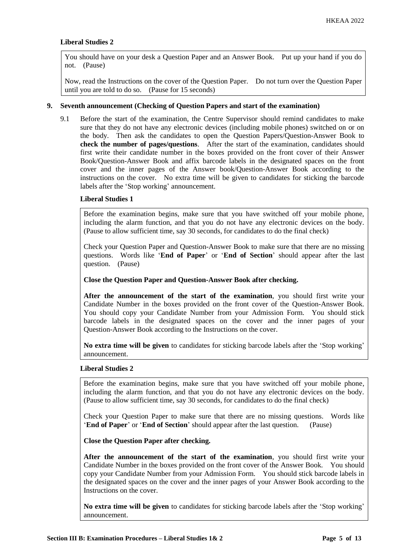### **Liberal Studies 2**

You should have on your desk a Question Paper and an Answer Book. Put up your hand if you do not. (Pause)

Now, read the Instructions on the cover of the Question Paper. Do not turn over the Question Paper until you are told to do so. (Pause for 15 seconds)

#### **9. Seventh announcement (Checking of Question Papers and start of the examination)**

9.1 Before the start of the examination, the Centre Supervisor should remind candidates to make sure that they do not have any electronic devices (including mobile phones) switched on or on the body. Then ask the candidates to open the Question Papers/Question-Answer Book to **check the number of pages/questions**. After the start of the examination, candidates should first write their candidate number in the boxes provided on the front cover of their Answer Book/Question-Answer Book and affix barcode labels in the designated spaces on the front cover and the inner pages of the Answer book/Question-Answer Book according to the instructions on the cover. No extra time will be given to candidates for sticking the barcode labels after the 'Stop working' announcement.

# **Liberal Studies 1**

Before the examination begins, make sure that you have switched off your mobile phone, including the alarm function, and that you do not have any electronic devices on the body. (Pause to allow sufficient time, say 30 seconds, for candidates to do the final check)

Check your Question Paper and Question-Answer Book to make sure that there are no missing questions. Words like '**End of Paper**' or '**End of Section**' should appear after the last question. (Pause)

**Close the Question Paper and Question-Answer Book after checking.**

**After the announcement of the start of the examination**, you should first write your Candidate Number in the boxes provided on the front cover of the Question-Answer Book. You should copy your Candidate Number from your Admission Form. You should stick barcode labels in the designated spaces on the cover and the inner pages of your Question-Answer Book according to the Instructions on the cover.

**No extra time will be given** to candidates for sticking barcode labels after the 'Stop working' announcement.

#### **Liberal Studies 2**

Before the examination begins, make sure that you have switched off your mobile phone, including the alarm function, and that you do not have any electronic devices on the body. (Pause to allow sufficient time, say 30 seconds, for candidates to do the final check)

Check your Question Paper to make sure that there are no missing questions. Words like '**End of Paper**' or '**End of Section**' should appear after the last question. (Pause)

**Close the Question Paper after checking.**

**After the announcement of the start of the examination**, you should first write your Candidate Number in the boxes provided on the front cover of the Answer Book. You should copy your Candidate Number from your Admission Form. You should stick barcode labels in the designated spaces on the cover and the inner pages of your Answer Book according to the Instructions on the cover.

**No extra time will be given** to candidates for sticking barcode labels after the 'Stop working' announcement.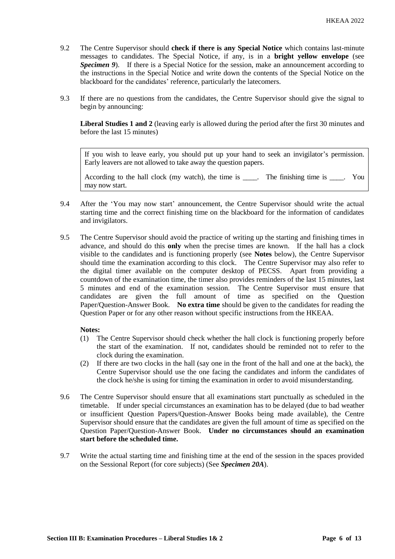- 9.2 The Centre Supervisor should **check if there is any Special Notice** which contains last-minute messages to candidates. The Special Notice, if any, is in a **bright yellow envelope** (see *Specimen 9*). If there is a Special Notice for the session, make an announcement according to the instructions in the Special Notice and write down the contents of the Special Notice on the blackboard for the candidates' reference, particularly the latecomers.
- 9.3 If there are no questions from the candidates, the Centre Supervisor should give the signal to begin by announcing:

**Liberal Studies 1 and 2** (leaving early is allowed during the period after the first 30 minutes and before the last 15 minutes)

If you wish to leave early, you should put up your hand to seek an invigilator's permission. Early leavers are not allowed to take away the question papers.

According to the hall clock (my watch), the time is \_\_\_\_. The finishing time is \_\_\_\_. You may now start.

- 9.4 After the 'You may now start' announcement, the Centre Supervisor should write the actual starting time and the correct finishing time on the blackboard for the information of candidates and invigilators.
- 9.5 The Centre Supervisor should avoid the practice of writing up the starting and finishing times in advance, and should do this **only** when the precise times are known. If the hall has a clock visible to the candidates and is functioning properly (see **Notes** below), the Centre Supervisor should time the examination according to this clock. The Centre Supervisor may also refer to the digital timer available on the computer desktop of PECSS. Apart from providing a countdown of the examination time, the timer also provides reminders of the last 15 minutes, last 5 minutes and end of the examination session. The Centre Supervisor must ensure that candidates are given the full amount of time as specified on the Question Paper/Question-Answer Book. **No extra time** should be given to the candidates for reading the Question Paper or for any other reason without specific instructions from the HKEAA.

# **Notes:**

- (1) The Centre Supervisor should check whether the hall clock is functioning properly before the start of the examination. If not, candidates should be reminded not to refer to the clock during the examination.
- (2) If there are two clocks in the hall (say one in the front of the hall and one at the back), the Centre Supervisor should use the one facing the candidates and inform the candidates of the clock he/she is using for timing the examination in order to avoid misunderstanding.
- 9.6 The Centre Supervisor should ensure that all examinations start punctually as scheduled in the timetable. If under special circumstances an examination has to be delayed (due to bad weather or insufficient Question Papers/Question-Answer Books being made available), the Centre Supervisor should ensure that the candidates are given the full amount of time as specified on the Question Paper/Question-Answer Book. **Under no circumstances should an examination start before the scheduled time.**
- 9.7 Write the actual starting time and finishing time at the end of the session in the spaces provided on the Sessional Report (for core subjects) (See *Specimen 20A*).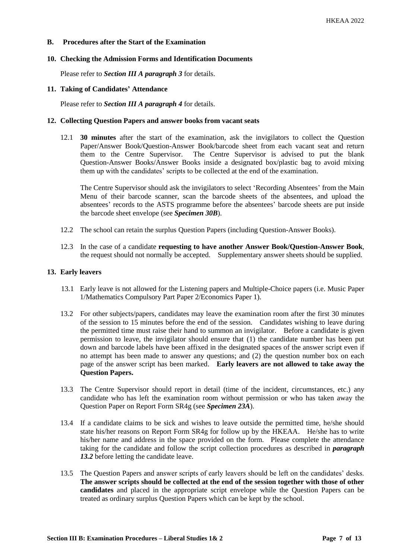### **B. Procedures after the Start of the Examination**

#### **10. Checking the Admission Forms and Identification Documents**

Please refer to *Section III A paragraph 3* for details.

#### **11. Taking of Candidates' Attendance**

Please refer to *Section III A paragraph 4* for details.

#### **12. Collecting Question Papers and answer books from vacant seats**

12.1 **30 minutes** after the start of the examination, ask the invigilators to collect the Question Paper/Answer Book/Question-Answer Book/barcode sheet from each vacant seat and return them to the Centre Supervisor. The Centre Supervisor is advised to put the blank Question-Answer Books/Answer Books inside a designated box/plastic bag to avoid mixing them up with the candidates' scripts to be collected at the end of the examination.

The Centre Supervisor should ask the invigilators to select 'Recording Absentees' from the Main Menu of their barcode scanner, scan the barcode sheets of the absentees, and upload the absentees' records to the ASTS programme before the absentees' barcode sheets are put inside the barcode sheet envelope (see *Specimen 30B*).

- 12.2 The school can retain the surplus Question Papers (including Question-Answer Books).
- 12.3 In the case of a candidate **requesting to have another Answer Book/Question-Answer Book**, the request should not normally be accepted. Supplementary answer sheets should be supplied.

### **13. Early leavers**

- 13.1 Early leave is not allowed for the Listening papers and Multiple-Choice papers (i.e. Music Paper 1/Mathematics Compulsory Part Paper 2/Economics Paper 1).
- 13.2 For other subjects/papers, candidates may leave the examination room after the first 30 minutes of the session to 15 minutes before the end of the session. Candidates wishing to leave during the permitted time must raise their hand to summon an invigilator. Before a candidate is given permission to leave, the invigilator should ensure that (1) the candidate number has been put down and barcode labels have been affixed in the designated spaces of the answer script even if no attempt has been made to answer any questions; and (2) the question number box on each page of the answer script has been marked. **Early leavers are not allowed to take away the Question Papers.**
- 13.3 The Centre Supervisor should report in detail (time of the incident, circumstances, etc.) any candidate who has left the examination room without permission or who has taken away the Question Paper on Report Form SR4g (see *Specimen 23A*).
- 13.4 If a candidate claims to be sick and wishes to leave outside the permitted time, he/she should state his/her reasons on Report Form SR4g for follow up by the HKEAA. He/she has to write his/her name and address in the space provided on the form. Please complete the attendance taking for the candidate and follow the script collection procedures as described in *paragraph 13.2* before letting the candidate leave.
- 13.5 The Question Papers and answer scripts of early leavers should be left on the candidates' desks. **The answer scripts should be collected at the end of the session together with those of other candidates** and placed in the appropriate script envelope while the Question Papers can be treated as ordinary surplus Question Papers which can be kept by the school.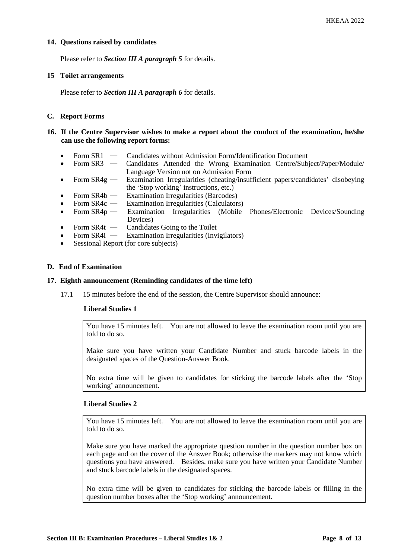## **14. Questions raised by candidates**

Please refer to *Section III A paragraph 5* for details.

#### **15 Toilet arrangements**

Please refer to *Section III A paragraph 6* for details.

## **C. Report Forms**

### **16. If the Centre Supervisor wishes to make a report about the conduct of the examination, he/she can use the following report forms:**

- Form SR1 ― Candidates without Admission Form/Identification Document
- Form SR3 ― Candidates Attended the Wrong Examination Centre/Subject/Paper/Module/ Language Version not on Admission Form
- Form  $SR4g$  Examination Irregularities (cheating/insufficient papers/candidates' disobeying the 'Stop working' instructions, etc.)
- Form  $SR4b$  Examination Irregularities (Barcodes)
- Form SR4c Examination Irregularities (Calculators)
- Form SR4p Examination Irregularities (Mobile Phones/Electronic Devices/Sounding Devices)
- Form  $SR4t$  Candidates Going to the Toilet<br>• Form  $SR4i$  Examination Irregularities (Invi
- **Examination Irregularities (Invigilators)**
- Sessional Report (for core subjects)

### **D. End of Examination**

#### **17. Eighth announcement (Reminding candidates of the time left)**

17.1 15 minutes before the end of the session, the Centre Supervisor should announce:

#### **Liberal Studies 1**

You have 15 minutes left. You are not allowed to leave the examination room until you are told to do so.

Make sure you have written your Candidate Number and stuck barcode labels in the designated spaces of the Question-Answer Book.

No extra time will be given to candidates for sticking the barcode labels after the 'Stop working' announcement.

#### **Liberal Studies 2**

You have 15 minutes left. You are not allowed to leave the examination room until you are told to do so.

Make sure you have marked the appropriate question number in the question number box on each page and on the cover of the Answer Book; otherwise the markers may not know which questions you have answered. Besides, make sure you have written your Candidate Number and stuck barcode labels in the designated spaces.

No extra time will be given to candidates for sticking the barcode labels or filling in the question number boxes after the 'Stop working' announcement.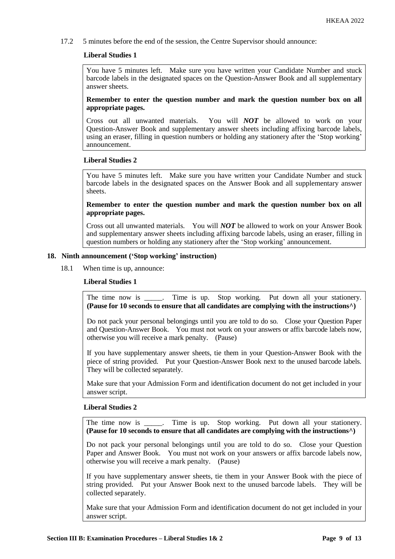17.2 5 minutes before the end of the session, the Centre Supervisor should announce:

### **Liberal Studies 1**

You have 5 minutes left. Make sure you have written your Candidate Number and stuck barcode labels in the designated spaces on the Question-Answer Book and all supplementary answer sheets.

**Remember to enter the question number and mark the question number box on all appropriate pages.** 

Cross out all unwanted materials. You will *NOT* be allowed to work on your Question-Answer Book and supplementary answer sheets including affixing barcode labels, using an eraser, filling in question numbers or holding any stationery after the 'Stop working' announcement.

### **Liberal Studies 2**

You have 5 minutes left. Make sure you have written your Candidate Number and stuck barcode labels in the designated spaces on the Answer Book and all supplementary answer sheets.

## **Remember to enter the question number and mark the question number box on all appropriate pages.**

Cross out all unwanted materials. You will *NOT* be allowed to work on your Answer Book and supplementary answer sheets including affixing barcode labels, using an eraser, filling in question numbers or holding any stationery after the 'Stop working' announcement.

### **18. Ninth announcement ('Stop working' instruction)**

18.1 When time is up, announce:

# **Liberal Studies 1**

The time now is \_\_\_\_\_. Time is up. Stop working. Put down all your stationery. **(Pause for 10 seconds to ensure that all candidates are complying with the instructions^)**

Do not pack your personal belongings until you are told to do so. Close your Question Paper and Question-Answer Book. You must not work on your answers or affix barcode labels now, otherwise you will receive a mark penalty. (Pause)

If you have supplementary answer sheets, tie them in your Question-Answer Book with the piece of string provided. Put your Question-Answer Book next to the unused barcode labels. They will be collected separately.

Make sure that your Admission Form and identification document do not get included in your answer script.

# **Liberal Studies 2**

The time now is \_\_\_\_\_. Time is up. Stop working. Put down all your stationery. **(Pause for 10 seconds to ensure that all candidates are complying with the instructions^)**

Do not pack your personal belongings until you are told to do so. Close your Question Paper and Answer Book. You must not work on your answers or affix barcode labels now, otherwise you will receive a mark penalty. (Pause)

If you have supplementary answer sheets, tie them in your Answer Book with the piece of string provided. Put your Answer Book next to the unused barcode labels. They will be collected separately.

Make sure that your Admission Form and identification document do not get included in your answer script.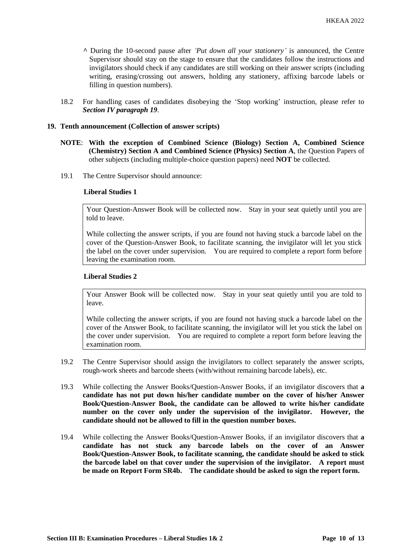- **^** During the 10-second pause after *'Put down all your stationery'* is announced, the Centre Supervisor should stay on the stage to ensure that the candidates follow the instructions and invigilators should check if any candidates are still working on their answer scripts (including writing, erasing/crossing out answers, holding any stationery, affixing barcode labels or filling in question numbers).
- 18.2 For handling cases of candidates disobeying the 'Stop working' instruction, please refer to *Section IV paragraph 19*.

## **19. Tenth announcement (Collection of answer scripts)**

- **NOTE**: **With the exception of Combined Science (Biology) Section A, Combined Science (Chemistry) Section A and Combined Science (Physics) Section A**, the Question Papers of other subjects (including multiple-choice question papers) need **NOT** be collected.
- 19.1 The Centre Supervisor should announce:

#### **Liberal Studies 1**

Your Question-Answer Book will be collected now. Stay in your seat quietly until you are told to leave.

While collecting the answer scripts, if you are found not having stuck a barcode label on the cover of the Question-Answer Book, to facilitate scanning, the invigilator will let you stick the label on the cover under supervision. You are required to complete a report form before leaving the examination room.

## **Liberal Studies 2**

Your Answer Book will be collected now. Stay in your seat quietly until you are told to leave.

While collecting the answer scripts, if you are found not having stuck a barcode label on the cover of the Answer Book, to facilitate scanning, the invigilator will let you stick the label on the cover under supervision. You are required to complete a report form before leaving the examination room.

- 19.2 The Centre Supervisor should assign the invigilators to collect separately the answer scripts, rough-work sheets and barcode sheets (with/without remaining barcode labels), etc.
- 19.3 While collecting the Answer Books/Question-Answer Books, if an invigilator discovers that **a candidate has not put down his/her candidate number on the cover of his/her Answer Book/Question-Answer Book, the candidate can be allowed to write his/her candidate number on the cover only under the supervision of the invigilator. However, the candidate should not be allowed to fill in the question number boxes.**
- 19.4 While collecting the Answer Books/Question-Answer Books, if an invigilator discovers that **a candidate has not stuck any barcode labels on the cover of an Answer Book/Question-Answer Book, to facilitate scanning, the candidate should be asked to stick the barcode label on that cover under the supervision of the invigilator. A report must be made on Report Form SR4b. The candidate should be asked to sign the report form.**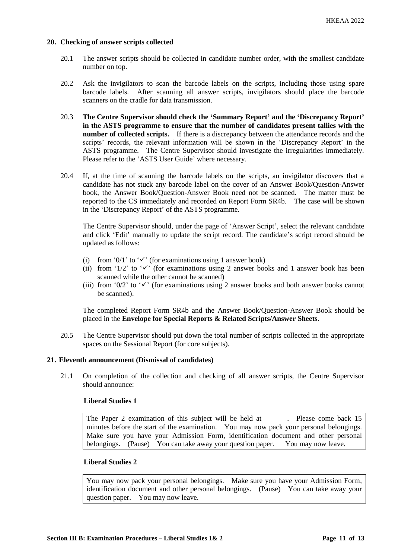### **20. Checking of answer scripts collected**

- 20.1 The answer scripts should be collected in candidate number order, with the smallest candidate number on top.
- 20.2 Ask the invigilators to scan the barcode labels on the scripts, including those using spare barcode labels. After scanning all answer scripts, invigilators should place the barcode scanners on the cradle for data transmission.
- 20.3 **The Centre Supervisor should check the 'Summary Report' and the 'Discrepancy Report' in the ASTS programme to ensure that the number of candidates present tallies with the number of collected scripts.** If there is a discrepancy between the attendance records and the scripts' records, the relevant information will be shown in the 'Discrepancy Report' in the ASTS programme. The Centre Supervisor should investigate the irregularities immediately. Please refer to the 'ASTS User Guide' where necessary.
- 20.4 If, at the time of scanning the barcode labels on the scripts, an invigilator discovers that a candidate has not stuck any barcode label on the cover of an Answer Book/Question-Answer book, the Answer Book/Question-Answer Book need not be scanned. The matter must be reported to the CS immediately and recorded on Report Form SR4b. The case will be shown in the 'Discrepancy Report' of the ASTS programme.

The Centre Supervisor should, under the page of 'Answer Script', select the relevant candidate and click 'Edit' manually to update the script record. The candidate's script record should be updated as follows:

- (i) from '0/1' to ' $\checkmark$ ' (for examinations using 1 answer book)
- (ii) from '1/2' to ' $\checkmark$ ' (for examinations using 2 answer books and 1 answer book has been scanned while the other cannot be scanned)
- (iii) from '0/2' to ' $\checkmark$ ' (for examinations using 2 answer books and both answer books cannot be scanned).

The completed Report Form SR4b and the Answer Book/Question-Answer Book should be placed in the **Envelope for Special Reports & Related Scripts/Answer Sheets**.

20.5 The Centre Supervisor should put down the total number of scripts collected in the appropriate spaces on the Sessional Report (for core subjects).

### **21. Eleventh announcement (Dismissal of candidates)**

21.1 On completion of the collection and checking of all answer scripts, the Centre Supervisor should announce:

#### **Liberal Studies 1**

The Paper 2 examination of this subject will be held at . Please come back 15 minutes before the start of the examination. You may now pack your personal belongings. Make sure you have your Admission Form, identification document and other personal belongings. (Pause) You can take away your question paper. You may now leave.

# **Liberal Studies 2**

You may now pack your personal belongings. Make sure you have your Admission Form, identification document and other personal belongings. (Pause) You can take away your question paper. You may now leave.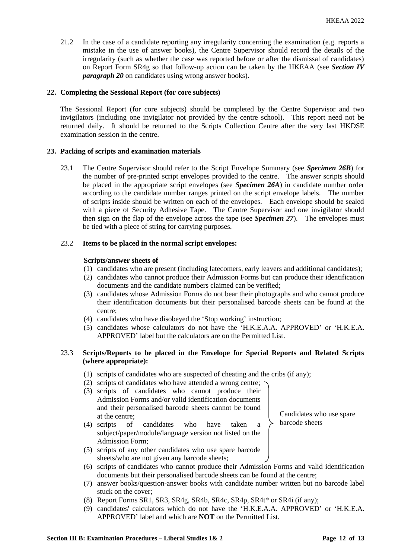21.2 In the case of a candidate reporting any irregularity concerning the examination (e.g. reports a mistake in the use of answer books), the Centre Supervisor should record the details of the irregularity (such as whether the case was reported before or after the dismissal of candidates) on Report Form SR4g so that follow-up action can be taken by the HKEAA (see *Section IV paragraph 20* on candidates using wrong answer books).

# **22. Completing the Sessional Report (for core subjects)**

The Sessional Report (for core subjects) should be completed by the Centre Supervisor and two invigilators (including one invigilator not provided by the centre school). This report need not be returned daily. It should be returned to the Scripts Collection Centre after the very last HKDSE examination session in the centre.

### **23. Packing of scripts and examination materials**

23.1 The Centre Supervisor should refer to the Script Envelope Summary (see *Specimen 26B*) for the number of pre-printed script envelopes provided to the centre. The answer scripts should be placed in the appropriate script envelopes (see *Specimen 26A*) in candidate number order according to the candidate number ranges printed on the script envelope labels. The number of scripts inside should be written on each of the envelopes. Each envelope should be sealed with a piece of Security Adhesive Tape. The Centre Supervisor and one invigilator should then sign on the flap of the envelope across the tape (see *Specimen 27*). The envelopes must be tied with a piece of string for carrying purposes.

### 23.2 **Items to be placed in the normal script envelopes:**

#### **Scripts/answer sheets of**

- (1) candidates who are present (including latecomers, early leavers and additional candidates);
- (2) candidates who cannot produce their Admission Forms but can produce their identification documents and the candidate numbers claimed can be verified;
- (3) candidates whose Admission Forms do not bear their photographs and who cannot produce their identification documents but their personalised barcode sheets can be found at the centre;
- (4) candidates who have disobeyed the 'Stop working' instruction;
- (5) candidates whose calculators do not have the 'H.K.E.A.A. APPROVED' or 'H.K.E.A. APPROVED' label but the calculators are on the Permitted List.

# 23.3 **Scripts/Reports to be placed in the Envelope for Special Reports and Related Scripts (where appropriate):**

- (1) scripts of candidates who are suspected of cheating and the cribs (if any);
- (2) scripts of candidates who have attended a wrong centre;
- (3) scripts of candidates who cannot produce their Admission Forms and/or valid identification documents and their personalised barcode sheets cannot be found at the centre;
- (4) scripts of candidates who have taken a subject/paper/module/language version not listed on the Admission Form;

Candidates who use spare barcode sheets

- (5) scripts of any other candidates who use spare barcode sheets/who are not given any barcode sheets;
- (6) scripts of candidates who cannot produce their Admission Forms and valid identification documents but their personalised barcode sheets can be found at the centre;
- (7) answer books/question-answer books with candidate number written but no barcode label stuck on the cover;
- (8) Report Forms SR1, SR3, SR4g, SR4b, SR4c, SR4p, SR4t\* or SR4i (if any);
- (9) candidates' calculators which do not have the 'H.K.E.A.A. APPROVED' or 'H.K.E.A. APPROVED' label and which are **NOT** on the Permitted List.